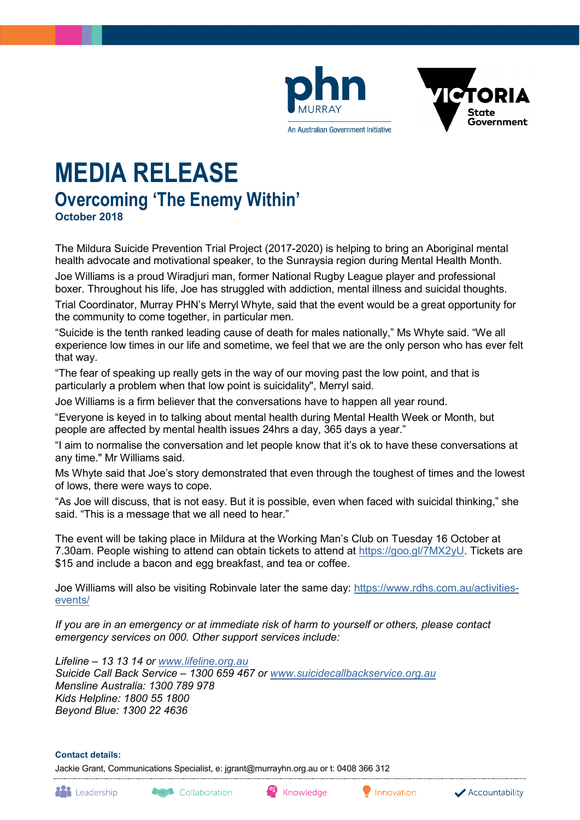



# **MEDIA RELEASE Overcoming 'The Enemy Within' October 2018**

The Mildura Suicide Prevention Trial Project (2017-2020) is helping to bring an Aboriginal mental health advocate and motivational speaker, to the Sunraysia region during Mental Health Month.

Joe Williams is a proud Wiradjuri man, former National Rugby League player and professional boxer. Throughout his life, Joe has struggled with addiction, mental illness and suicidal thoughts.

Trial Coordinator, Murray PHN's Merryl Whyte, said that the event would be a great opportunity for the community to come together, in particular men.

"Suicide is the tenth ranked leading cause of death for males nationally," Ms Whyte said. "We all experience low times in our life and sometime, we feel that we are the only person who has ever felt that way.

"The fear of speaking up really gets in the way of our moving past the low point, and that is particularly a problem when that low point is suicidality", Merryl said.

Joe Williams is a firm believer that the conversations have to happen all year round.

"Everyone is keyed in to talking about mental health during Mental Health Week or Month, but people are affected by mental health issues 24hrs a day, 365 days a year."

"I aim to normalise the conversation and let people know that it's ok to have these conversations at any time." Mr Williams said.

Ms Whyte said that Joe's story demonstrated that even through the toughest of times and the lowest of lows, there were ways to cope.

"As Joe will discuss, that is not easy. But it is possible, even when faced with suicidal thinking," she said. "This is a message that we all need to hear."

The event will be taking place in Mildura at the Working Man's Club on Tuesday 16 October at 7.30am. People wishing to attend can obtain tickets to attend at [https://goo.gl/7MX2yU.](https://goo.gl/7MX2yU) Tickets are \$15 and include a bacon and egg breakfast, and tea or coffee.

Joe Williams will also be visiting Robinvale later the same day: [https://www.rdhs.com.au/activities](https://www.rdhs.com.au/activities-events/)[events/](https://www.rdhs.com.au/activities-events/)

*If you are in an emergency or at immediate risk of harm to yourself or others, please contact emergency services on 000. Other support services include:*

*Lifeline – 13 13 14 or [www.lifeline.org.au](http://www.lifeline.org.au/) Suicide Call Back Service – 1300 659 467 or [www.suicidecallbackservice.org.au](http://www.suicidecallbackservice.org.au/) Mensline Australia: 1300 789 978 Kids Helpline: 1800 55 1800 Beyond Blue: 1300 22 4636*

#### **Contact details:**

Jackie Grant, Communications Specialist, e: jgrant@murrayhn.org.au or t: 0408 366 312